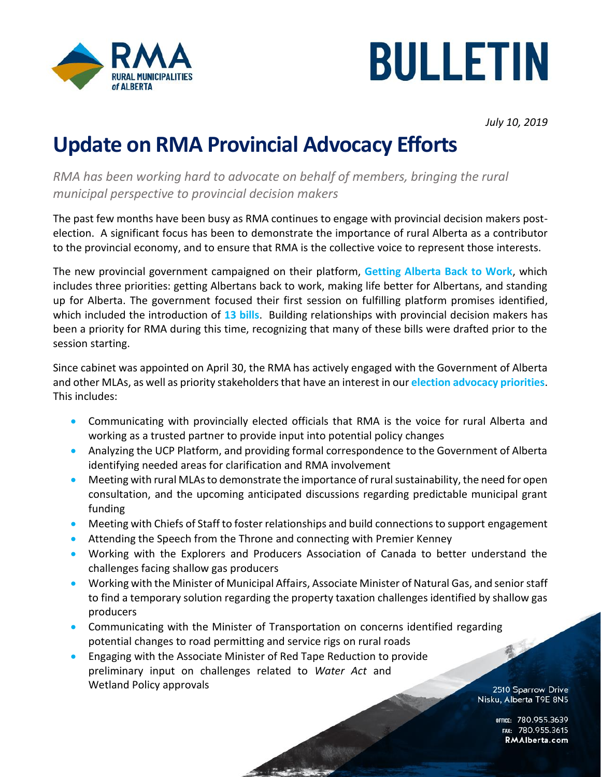



*July 10, 2019*

## **Update on RMA Provincial Advocacy Efforts**

*RMA has been working hard to advocate on behalf of members, bringing the rural municipal perspective to provincial decision makers* 

The past few months have been busy as RMA continues to engage with provincial decision makers postelection. A significant focus has been to demonstrate the importance of rural Alberta as a contributor to the provincial economy, and to ensure that RMA is the collective voice to represent those interests.

The new provincial government campaigned on their platform, **[Getting Alberta Back to Work](https://www.albertastrongandfree.ca/wp-content/uploads/2019/04/Alberta-Strong-and-Free-Platform-1.pdf)**, which includes three priorities: getting Albertans back to work, making life better for Albertans, and standing up for Alberta. The government focused their first session on fulfilling platform promises identified, which included the introduction of **13 [bills](https://www.assembly.ab.ca/net/index.aspx?p=bill§ion=doc&legl=30&session=1)**. Building relationships with provincial decision makers has been a priority for RMA during this time, recognizing that many of these bills were drafted prior to the session starting.

Since cabinet was appointed on April 30, the RMA has actively engaged with the Government of Alberta and other MLAs, as well as priority stakeholders that have an interest in our **[election advocacy priorities](https://rmalberta.com/where-it-all-starts/)**. This includes:

- Communicating with provincially elected officials that RMA is the voice for rural Alberta and working as a trusted partner to provide input into potential policy changes
- Analyzing the UCP Platform, and providing formal correspondence to the Government of Alberta identifying needed areas for clarification and RMA involvement
- Meeting with rural MLAs to demonstrate the importance of rural sustainability, the need for open consultation, and the upcoming anticipated discussions regarding predictable municipal grant funding
- Meeting with Chiefs of Staff to foster relationships and build connections to support engagement
- Attending the Speech from the Throne and connecting with Premier Kenney
- Working with the Explorers and Producers Association of Canada to better understand the challenges facing shallow gas producers
- Working with the Minister of Municipal Affairs, Associate Minister of Natural Gas, and senior staff to find a temporary solution regarding the property taxation challenges identified by shallow gas producers
- Communicating with the Minister of Transportation on concerns identified regarding<br>potential changes to road permitting and service rigs on rural roads<br>Friending with the Acception Minister of Telloron potential changes to road permitting and service rigs on rural roads
- Engaging with the Associate Minister of Red Tape Reduction to provide preliminary input on challenges related to *Water Act* and Wetland Policy approvals

2510 Sparrow Drive Nisku, Alberta T9E 8N5

> OFFICE: 780.955.3639<br>15.780.955.3615 RMAIberta.com